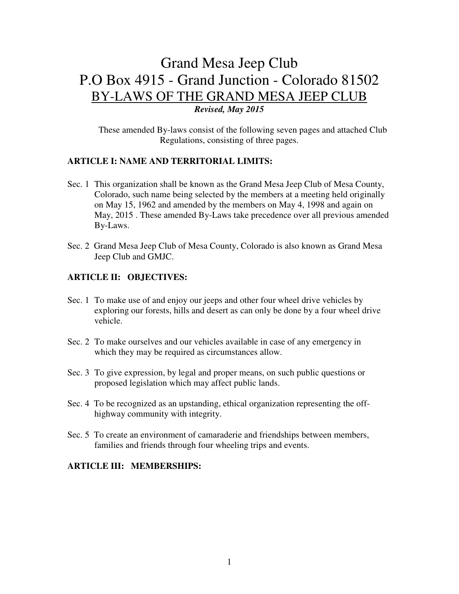# Grand Mesa Jeep Club P.O Box 4915 - Grand Junction - Colorado 81502 BY-LAWS OF THE GRAND MESA JEEP CLUB *Revised, May 2015*

These amended By-laws consist of the following seven pages and attached Club Regulations, consisting of three pages.

### **ARTICLE I: NAME AND TERRITORIAL LIMITS:**

- Sec. 1 This organization shall be known as the Grand Mesa Jeep Club of Mesa County, Colorado, such name being selected by the members at a meeting held originally on May 15, 1962 and amended by the members on May 4, 1998 and again on May, 2015 . These amended By-Laws take precedence over all previous amended By-Laws.
- Sec. 2 Grand Mesa Jeep Club of Mesa County, Colorado is also known as Grand Mesa Jeep Club and GMJC.

#### **ARTICLE II: OBJECTIVES:**

- Sec. 1 To make use of and enjoy our jeeps and other four wheel drive vehicles by exploring our forests, hills and desert as can only be done by a four wheel drive vehicle.
- Sec. 2 To make ourselves and our vehicles available in case of any emergency in which they may be required as circumstances allow.
- Sec. 3 To give expression, by legal and proper means, on such public questions or proposed legislation which may affect public lands.
- Sec. 4 To be recognized as an upstanding, ethical organization representing the offhighway community with integrity.
- Sec. 5 To create an environment of camaraderie and friendships between members, families and friends through four wheeling trips and events.

## **ARTICLE III: MEMBERSHIPS:**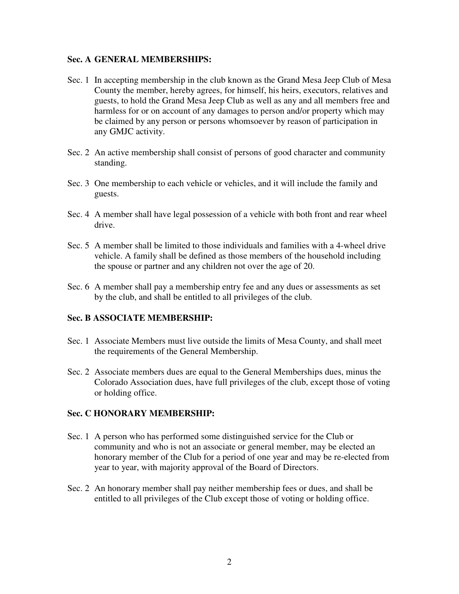#### **Sec. A GENERAL MEMBERSHIPS:**

- Sec. 1 In accepting membership in the club known as the Grand Mesa Jeep Club of Mesa County the member, hereby agrees, for himself, his heirs, executors, relatives and guests, to hold the Grand Mesa Jeep Club as well as any and all members free and harmless for or on account of any damages to person and/or property which may be claimed by any person or persons whomsoever by reason of participation in any GMJC activity.
- Sec. 2 An active membership shall consist of persons of good character and community standing.
- Sec. 3 One membership to each vehicle or vehicles, and it will include the family and guests.
- Sec. 4 A member shall have legal possession of a vehicle with both front and rear wheel drive.
- Sec. 5 A member shall be limited to those individuals and families with a 4-wheel drive vehicle. A family shall be defined as those members of the household including the spouse or partner and any children not over the age of 20.
- Sec. 6 A member shall pay a membership entry fee and any dues or assessments as set by the club, and shall be entitled to all privileges of the club.

# **Sec. B ASSOCIATE MEMBERSHIP:**

- Sec. 1 Associate Members must live outside the limits of Mesa County, and shall meet the requirements of the General Membership.
- Sec. 2 Associate members dues are equal to the General Memberships dues, minus the Colorado Association dues, have full privileges of the club, except those of voting or holding office.

#### **Sec. C HONORARY MEMBERSHIP:**

- Sec. 1 A person who has performed some distinguished service for the Club or community and who is not an associate or general member, may be elected an honorary member of the Club for a period of one year and may be re-elected from year to year, with majority approval of the Board of Directors.
- Sec. 2 An honorary member shall pay neither membership fees or dues, and shall be entitled to all privileges of the Club except those of voting or holding office.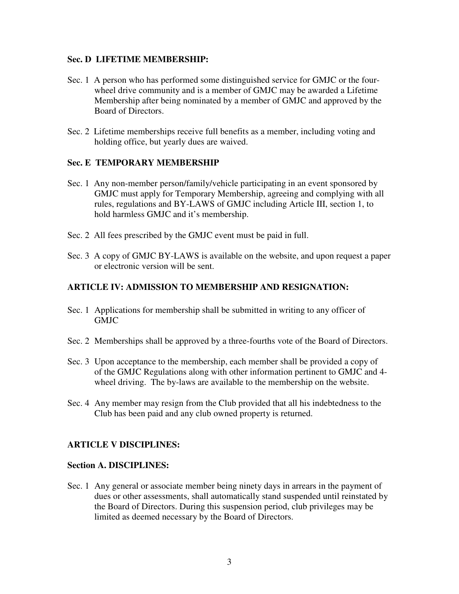#### **Sec. D LIFETIME MEMBERSHIP:**

- Sec. 1 A person who has performed some distinguished service for GMJC or the fourwheel drive community and is a member of GMJC may be awarded a Lifetime Membership after being nominated by a member of GMJC and approved by the Board of Directors.
- Sec. 2 Lifetime memberships receive full benefits as a member, including voting and holding office, but yearly dues are waived.

#### **Sec. E TEMPORARY MEMBERSHIP**

- Sec. 1 Any non-member person/family/vehicle participating in an event sponsored by GMJC must apply for Temporary Membership, agreeing and complying with all rules, regulations and BY-LAWS of GMJC including Article III, section 1, to hold harmless GMJC and it's membership.
- Sec. 2 All fees prescribed by the GMJC event must be paid in full.
- Sec. 3 A copy of GMJC BY-LAWS is available on the website, and upon request a paper or electronic version will be sent.

#### **ARTICLE IV: ADMISSION TO MEMBERSHIP AND RESIGNATION:**

- Sec. 1 Applications for membership shall be submitted in writing to any officer of GMJC
- Sec. 2 Memberships shall be approved by a three-fourths vote of the Board of Directors.
- Sec. 3 Upon acceptance to the membership, each member shall be provided a copy of of the GMJC Regulations along with other information pertinent to GMJC and 4 wheel driving. The by-laws are available to the membership on the website.
- Sec. 4 Any member may resign from the Club provided that all his indebtedness to the Club has been paid and any club owned property is returned.

#### **ARTICLE V DISCIPLINES:**

#### **Section A. DISCIPLINES:**

Sec. 1 Any general or associate member being ninety days in arrears in the payment of dues or other assessments, shall automatically stand suspended until reinstated by the Board of Directors. During this suspension period, club privileges may be limited as deemed necessary by the Board of Directors.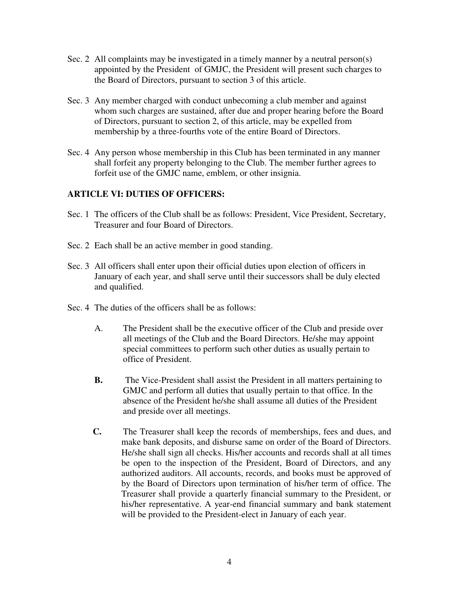- Sec. 2 All complaints may be investigated in a timely manner by a neutral person(s) appointed by the President of GMJC, the President will present such charges to the Board of Directors, pursuant to section 3 of this article.
- Sec. 3 Any member charged with conduct unbecoming a club member and against whom such charges are sustained, after due and proper hearing before the Board of Directors, pursuant to section 2, of this article, may be expelled from membership by a three-fourths vote of the entire Board of Directors.
- Sec. 4 Any person whose membership in this Club has been terminated in any manner shall forfeit any property belonging to the Club. The member further agrees to forfeit use of the GMJC name, emblem, or other insignia.

# **ARTICLE VI: DUTIES OF OFFICERS:**

- Sec. 1 The officers of the Club shall be as follows: President, Vice President, Secretary, Treasurer and four Board of Directors.
- Sec. 2 Each shall be an active member in good standing.
- Sec. 3 All officers shall enter upon their official duties upon election of officers in January of each year, and shall serve until their successors shall be duly elected and qualified.
- Sec. 4 The duties of the officers shall be as follows:
	- A. The President shall be the executive officer of the Club and preside over all meetings of the Club and the Board Directors. He/she may appoint special committees to perform such other duties as usually pertain to office of President.
	- **B.** The Vice-President shall assist the President in all matters pertaining to GMJC and perform all duties that usually pertain to that office. In the absence of the President he/she shall assume all duties of the President and preside over all meetings.
	- **C.** The Treasurer shall keep the records of memberships, fees and dues, and make bank deposits, and disburse same on order of the Board of Directors. He/she shall sign all checks. His/her accounts and records shall at all times be open to the inspection of the President, Board of Directors, and any authorized auditors. All accounts, records, and books must be approved of by the Board of Directors upon termination of his/her term of office. The Treasurer shall provide a quarterly financial summary to the President, or his/her representative. A year-end financial summary and bank statement will be provided to the President-elect in January of each year.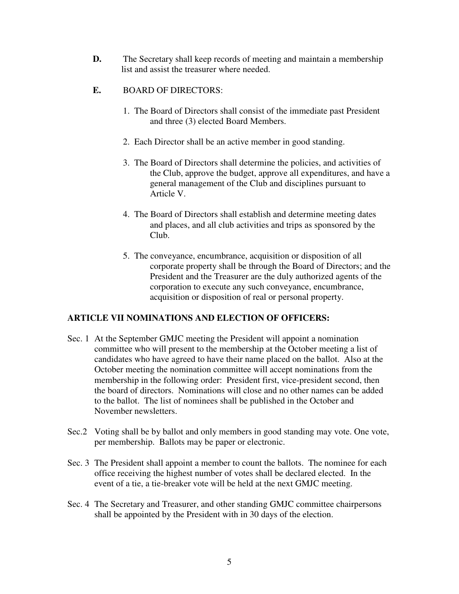- **D.** The Secretary shall keep records of meeting and maintain a membership list and assist the treasurer where needed.
- **E.** BOARD OF DIRECTORS:
	- 1. The Board of Directors shall consist of the immediate past President and three (3) elected Board Members.
	- 2. Each Director shall be an active member in good standing.
	- 3. The Board of Directors shall determine the policies, and activities of the Club, approve the budget, approve all expenditures, and have a general management of the Club and disciplines pursuant to Article V.
	- 4. The Board of Directors shall establish and determine meeting dates and places, and all club activities and trips as sponsored by the Club.
	- 5. The conveyance, encumbrance, acquisition or disposition of all corporate property shall be through the Board of Directors; and the President and the Treasurer are the duly authorized agents of the corporation to execute any such conveyance, encumbrance, acquisition or disposition of real or personal property.

# **ARTICLE VII NOMINATIONS AND ELECTION OF OFFICERS:**

- Sec. 1 At the September GMJC meeting the President will appoint a nomination committee who will present to the membership at the October meeting a list of candidates who have agreed to have their name placed on the ballot. Also at the October meeting the nomination committee will accept nominations from the membership in the following order: President first, vice-president second, then the board of directors. Nominations will close and no other names can be added to the ballot. The list of nominees shall be published in the October and November newsletters.
- Sec.2 Voting shall be by ballot and only members in good standing may vote. One vote, per membership. Ballots may be paper or electronic.
- Sec. 3 The President shall appoint a member to count the ballots. The nominee for each office receiving the highest number of votes shall be declared elected. In the event of a tie, a tie-breaker vote will be held at the next GMJC meeting.
- Sec. 4 The Secretary and Treasurer, and other standing GMJC committee chairpersons shall be appointed by the President with in 30 days of the election.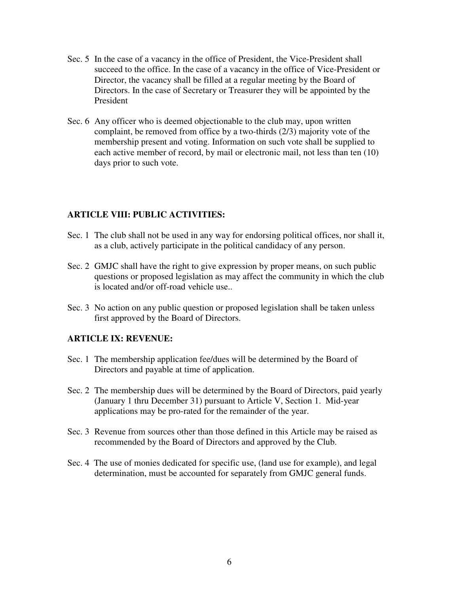- Sec. 5 In the case of a vacancy in the office of President, the Vice-President shall succeed to the office. In the case of a vacancy in the office of Vice-President or Director, the vacancy shall be filled at a regular meeting by the Board of Directors. In the case of Secretary or Treasurer they will be appointed by the President
- Sec. 6 Any officer who is deemed objectionable to the club may, upon written complaint, be removed from office by a two-thirds (2/3) majority vote of the membership present and voting. Information on such vote shall be supplied to each active member of record, by mail or electronic mail, not less than ten (10) days prior to such vote.

## **ARTICLE VIII: PUBLIC ACTIVITIES:**

- Sec. 1 The club shall not be used in any way for endorsing political offices, nor shall it, as a club, actively participate in the political candidacy of any person.
- Sec. 2 GMJC shall have the right to give expression by proper means, on such public questions or proposed legislation as may affect the community in which the club is located and/or off-road vehicle use..
- Sec. 3 No action on any public question or proposed legislation shall be taken unless first approved by the Board of Directors.

#### **ARTICLE IX: REVENUE:**

- Sec. 1 The membership application fee/dues will be determined by the Board of Directors and payable at time of application.
- Sec. 2 The membership dues will be determined by the Board of Directors, paid yearly (January 1 thru December 31) pursuant to Article V, Section 1. Mid-year applications may be pro-rated for the remainder of the year.
- Sec. 3 Revenue from sources other than those defined in this Article may be raised as recommended by the Board of Directors and approved by the Club.
- Sec. 4 The use of monies dedicated for specific use, (land use for example), and legal determination, must be accounted for separately from GMJC general funds.